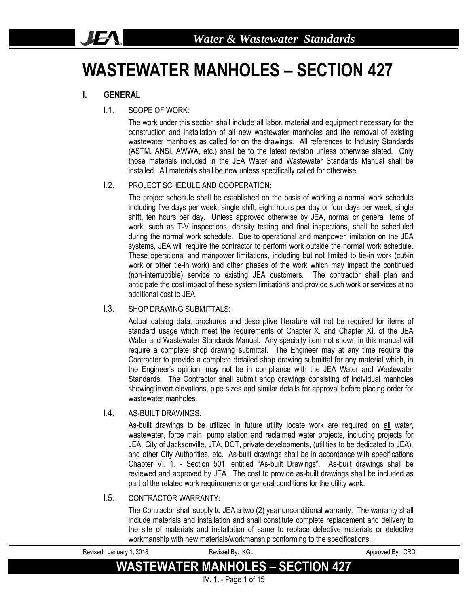# **WASTEWATER MANHOLES – SECTION 427**

### **I. GENERAL**

**JEA** 

#### I.1. SCOPE OF WORK:

The work under this section shall include all labor, material and equipment necessary for the construction and installation of all new wastewater manholes and the removal of existing wastewater manholes as called for on the drawings. All references to Industry Standards (ASTM, ANSI, AWWA, etc.) shall be to the latest revision unless otherwise stated. Only those materials included in the JEA Water and Wastewater Standards Manual shall be installed. All materials shall be new unless specifically called for otherwise.

#### I.2. PROJECT SCHEDULE AND COOPERATION:

The project schedule shall be established on the basis of working a normal work schedule including five days per week, single shift, eight hours per day or four days per week, single shift, ten hours per day. Unless approved otherwise by JEA, normal or general items of work, such as T-V inspections, density testing and final inspections, shall be scheduled during the normal work schedule. Due to operational and manpower limitation on the JEA systems, JEA will require the contractor to perform work outside the normal work schedule. These operational and manpower limitations, including but not limited to tie-in work (cut-in work or other tie-in work) and other phases of the work which may impact the continued (non-interruptible) service to existing JEA customers. The contractor shall plan and anticipate the cost impact of these system limitations and provide such work or services at no additional cost to JEA.

#### I.3. SHOP DRAWING SUBMITTALS:

Actual catalog data, brochures and descriptive literature will not be required for items of standard usage which meet the requirements of Chapter X. and Chapter XI. of the JEA Water and Wastewater Standards Manual. Any specialty item not shown in this manual will require a complete shop drawing submittal. The Engineer may at any time require the Contractor to provide a complete detailed shop drawing submittal for any material which, in the Engineer's opinion, may not be in compliance with the JEA Water and Wastewater Standards. The Contractor shall submit shop drawings consisting of individual manholes showing invert elevations, pipe sizes and similar details for approval before placing order for wastewater manholes

#### I.4. AS-BUILT DRAWINGS:

As-built drawings to be utilized in future utility locate work are required on all water, wastewater, force main, pump station and reclaimed water projects, including projects for JEA, City of Jacksonville, JTA, DOT, private developments, (utilities to be dedicated to JEA), and other City Authorities, etc. As-built drawings shall be in accordance with specifications Chapter VI. 1. - Section 501, entitled "As-built Drawings". As-built drawings shall be reviewed and approved by JEA. The cost to provide as-built drawings shall be included as part of the related work requirements or general conditions for the utility work.

#### I.5. CONTRACTOR WARRANTY:

The Contractor shall supply to JEA a two (2) year unconditional warranty. The warranty shall include materials and installation and shall constitute complete replacement and delivery to the site of materials and installation of same to replace defective materials or defective workmanship with new materials/workmanship conforming to the specifications.

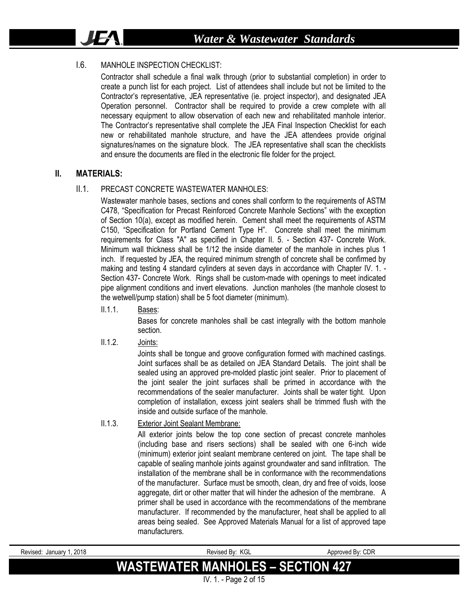#### I.6. MANHOLE INSPECTION CHECKLIST.

Contractor shall schedule a final walk through (prior to substantial completion) in order to create a punch list for each project. List of attendees shall include but not be limited to the Contractor's representative, JEA representative (ie. project inspector), and designated JEA Operation personnel. Contractor shall be required to provide a crew complete with all necessary equipment to allow observation of each new and rehabilitated manhole interior. The Contractor's representative shall complete the JEA Final Inspection Checklist for each new or rehabilitated manhole structure, and have the JEA attendees provide original signatures/names on the signature block. The JEA representative shall scan the checklists and ensure the documents are filed in the electronic file folder for the project.

#### **II. MATERIALS:**

JEA.

#### II.1. PRECAST CONCRETE WASTEWATER MANHOLES:

Wastewater manhole bases, sections and cones shall conform to the requirements of ASTM C478, "Specification for Precast Reinforced Concrete Manhole Sections" with the exception of Section 10(a), except as modified herein. Cement shall meet the requirements of ASTM C150, "Specification for Portland Cement Type H". Concrete shall meet the minimum requirements for Class "A" as specified in Chapter II. 5. - Section 437- Concrete Work. Minimum wall thickness shall be 1/12 the inside diameter of the manhole in inches plus 1 inch. If requested by JEA, the required minimum strength of concrete shall be confirmed by making and testing 4 standard cylinders at seven days in accordance with Chapter IV. 1. - Section 437- Concrete Work. Rings shall be custom-made with openings to meet indicated pipe alignment conditions and invert elevations. Junction manholes (the manhole closest to the wetwell/pump station) shall be 5 foot diameter (minimum).

II.1.1. Bases:

Bases for concrete manholes shall be cast integrally with the bottom manhole section.

II.1.2. Joints:

Joints shall be tongue and groove configuration formed with machined castings. Joint surfaces shall be as detailed on JEA Standard Details. The joint shall be sealed using an approved pre-molded plastic joint sealer. Prior to placement of the joint sealer the joint surfaces shall be primed in accordance with the recommendations of the sealer manufacturer. Joints shall be water tight. Upon completion of installation, excess joint sealers shall be trimmed flush with the inside and outside surface of the manhole.

II.1.3. Exterior Joint Sealant Membrane:

All exterior joints below the top cone section of precast concrete manholes (including base and risers sections) shall be sealed with one 6-inch wide (minimum) exterior joint sealant membrane centered on joint. The tape shall be capable of sealing manhole joints against groundwater and sand infiltration. The installation of the membrane shall be in conformance with the recommendations of the manufacturer. Surface must be smooth, clean, dry and free of voids, loose aggregate, dirt or other matter that will hinder the adhesion of the membrane. A primer shall be used in accordance with the recommendations of the membrane manufacturer. If recommended by the manufacturer, heat shall be applied to all areas being sealed. See Approved Materials Manual for a list of approved tape manufacturers.

| Revised: January 1, 2018 | Revised By: KGL                          | Approved By: CDR |
|--------------------------|------------------------------------------|------------------|
|                          | <b>WASTEWATER MANHOLES - SECTION 427</b> |                  |
|                          | IV. 1. - Page 2 of 15                    |                  |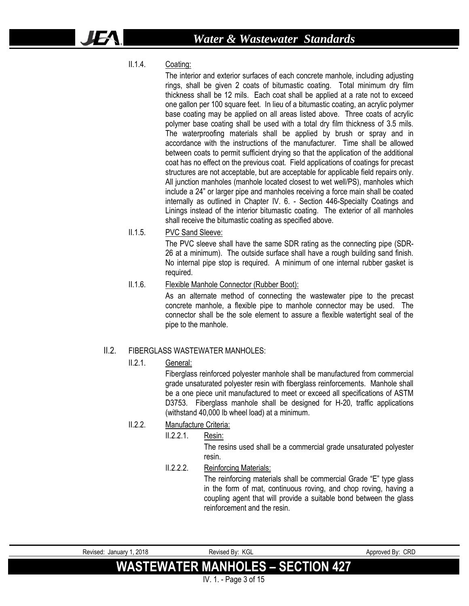II.1.4. Coating:

The interior and exterior surfaces of each concrete manhole, including adjusting rings, shall be given 2 coats of bitumastic coating. Total minimum dry film thickness shall be 12 mils. Each coat shall be applied at a rate not to exceed one gallon per 100 square feet. In lieu of a bitumastic coating, an acrylic polymer base coating may be applied on all areas listed above. Three coats of acrylic polymer base coating shall be used with a total dry film thickness of 3.5 mils. The waterproofing materials shall be applied by brush or spray and in accordance with the instructions of the manufacturer. Time shall be allowed between coats to permit sufficient drying so that the application of the additional coat has no effect on the previous coat. Field applications of coatings for precast structures are not acceptable, but are acceptable for applicable field repairs only. All junction manholes (manhole located closest to wet well/PS), manholes which include a 24" or larger pipe and manholes receiving a force main shall be coated internally as outlined in Chapter IV. 6. - Section 446-Specialty Coatings and Linings instead of the interior bitumastic coating. The exterior of all manholes shall receive the bitumastic coating as specified above.

#### II.1.5. PVC Sand Sleeve:

The PVC sleeve shall have the same SDR rating as the connecting pipe (SDR-26 at a minimum). The outside surface shall have a rough building sand finish. No internal pipe stop is required. A minimum of one internal rubber gasket is required.

#### II.1.6. Flexible Manhole Connector (Rubber Boot):

As an alternate method of connecting the wastewater pipe to the precast concrete manhole, a flexible pipe to manhole connector may be used. The connector shall be the sole element to assure a flexible watertight seal of the pipe to the manhole.

#### II.2. FIBERGLASS WASTEWATER MANHOLES:

#### II.2.1. General:

Fiberglass reinforced polyester manhole shall be manufactured from commercial grade unsaturated polyester resin with fiberglass reinforcements. Manhole shall be a one piece unit manufactured to meet or exceed all specifications of ASTM D3753. Fiberglass manhole shall be designed for H-20, traffic applications (withstand 40,000 lb wheel load) at a minimum.

- II.2.2. Manufacture Criteria:
	- II.2.2.1. Resin:

The resins used shall be a commercial grade unsaturated polyester resin.

II.2.2.2. Reinforcing Materials:

The reinforcing materials shall be commercial Grade "E" type glass in the form of mat, continuous roving, and chop roving, having a coupling agent that will provide a suitable bond between the glass reinforcement and the resin.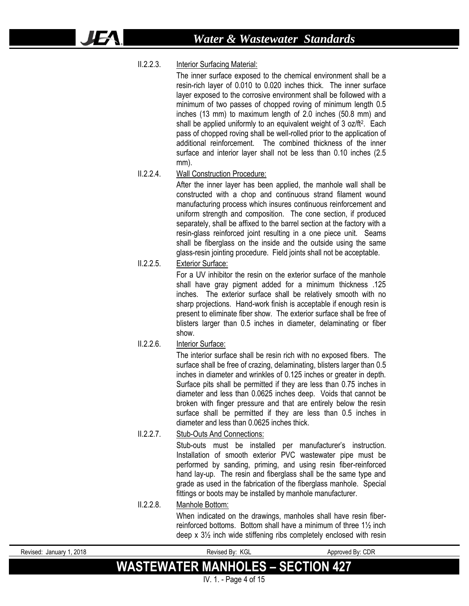#### II.2.2.3. Interior Surfacing Material:

42

The inner surface exposed to the chemical environment shall be a resin-rich layer of 0.010 to 0.020 inches thick. The inner surface layer exposed to the corrosive environment shall be followed with a minimum of two passes of chopped roving of minimum length 0.5 inches (13 mm) to maximum length of 2.0 inches (50.8 mm) and shall be applied uniformly to an equivalent weight of 3 oz/ft<sup>2</sup>. Each pass of chopped roving shall be well-rolled prior to the application of additional reinforcement. The combined thickness of the inner surface and interior layer shall not be less than 0.10 inches (2.5 mm).

#### II.2.2.4. Wall Construction Procedure:

After the inner layer has been applied, the manhole wall shall be constructed with a chop and continuous strand filament wound manufacturing process which insures continuous reinforcement and uniform strength and composition. The cone section, if produced separately, shall be affixed to the barrel section at the factory with a resin-glass reinforced joint resulting in a one piece unit. Seams shall be fiberglass on the inside and the outside using the same glass-resin jointing procedure. Field joints shall not be acceptable.

#### II.2.2.5. Exterior Surface:

For a UV inhibitor the resin on the exterior surface of the manhole shall have gray pigment added for a minimum thickness .125 inches. The exterior surface shall be relatively smooth with no sharp projections. Hand-work finish is acceptable if enough resin is present to eliminate fiber show. The exterior surface shall be free of blisters larger than 0.5 inches in diameter, delaminating or fiber show.

#### II.2.2.6. Interior Surface:

The interior surface shall be resin rich with no exposed fibers. The surface shall be free of crazing, delaminating, blisters larger than 0.5 inches in diameter and wrinkles of 0.125 inches or greater in depth. Surface pits shall be permitted if they are less than 0.75 inches in diameter and less than 0.0625 inches deep. Voids that cannot be broken with finger pressure and that are entirely below the resin surface shall be permitted if they are less than 0.5 inches in diameter and less than 0.0625 inches thick.

#### II.2.2.7. Stub-Outs And Connections:

Stub-outs must be installed per manufacturer's instruction. Installation of smooth exterior PVC wastewater pipe must be performed by sanding, priming, and using resin fiber-reinforced hand lay-up. The resin and fiberglass shall be the same type and grade as used in the fabrication of the fiberglass manhole. Special fittings or boots may be installed by manhole manufacturer.

#### II.2.2.8. Manhole Bottom:

When indicated on the drawings, manholes shall have resin fiberreinforced bottoms. Bottom shall have a minimum of three 1½ inch deep x 3½ inch wide stiffening ribs completely enclosed with resin

| Revised: January 1, 2018 | Revised By: KGL                          | Approved By: CDR |
|--------------------------|------------------------------------------|------------------|
|                          | <b>WASTEWATER MANHOLES - SECTION 427</b> |                  |
|                          | IV. $1. - Page 4 of 15$                  |                  |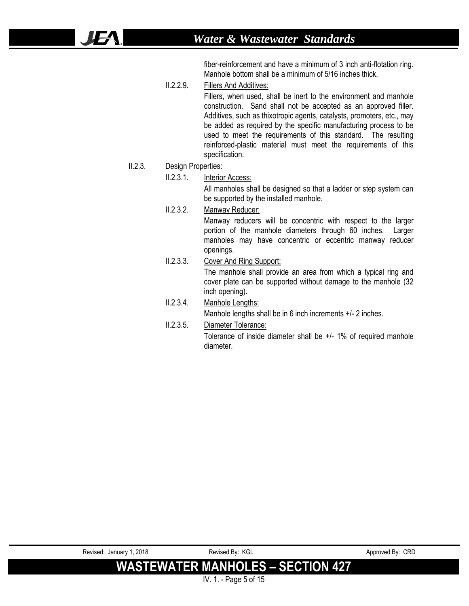fiber-reinforcement and have a minimum of 3 inch anti-flotation ring. Manhole bottom shall be a minimum of 5/16 inches thick.

II.2.2.9. Fillers And Additives:

Fillers, when used, shall be inert to the environment and manhole construction. Sand shall not be accepted as an approved filler. Additives, such as thixotropic agents, catalysts, promoters, etc., may be added as required by the specific manufacturing process to be used to meet the requirements of this standard. The resulting reinforced-plastic material must meet the requirements of this specification.

#### II.2.3. Design Properties:

16

#### II.2.3.1. Interior Access:

All manholes shall be designed so that a ladder or step system can be supported by the installed manhole.

- II.2.3.2. Manway Reducer: Manway reducers will be concentric with respect to the larger portion of the manhole diameters through 60 inches. Larger manholes may have concentric or eccentric manway reducer openings.
- II.2.3.3. Cover And Ring Support: The manhole shall provide an area from which a typical ring and cover plate can be supported without damage to the manhole (32 inch opening).

# II.2.3.4. Manhole Lengths:

Manhole lengths shall be in 6 inch increments  $+/-2$  inches.

II.2.3.5. Diameter Tolerance:

Tolerance of inside diameter shall be +/- 1% of required manhole diameter.

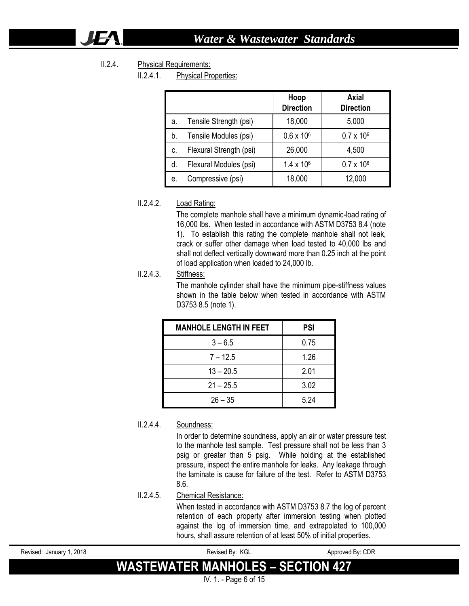#### II.2.4. Physical Requirements:

IE.

II.2.4.1. Physical Properties:

|    |                         | Hoop<br><b>Direction</b> | Axial<br><b>Direction</b> |
|----|-------------------------|--------------------------|---------------------------|
| а. | Tensile Strength (psi)  | 18,000                   | 5,000                     |
| b. | Tensile Modules (psi)   | $0.6 \times 10^{6}$      | $0.7 \times 10^6$         |
| C. | Flexural Strength (psi) | 26,000                   | 4,500                     |
| d. | Flexural Modules (psi)  | $1.4 \times 10^{6}$      | $0.7 \times 10^6$         |
| е. | Compressive (psi)       | 18,000                   | 12,000                    |

#### II.2.4.2. Load Rating:

The complete manhole shall have a minimum dynamic-load rating of 16,000 lbs. When tested in accordance with ASTM D3753 8.4 (note 1). To establish this rating the complete manhole shall not leak, crack or suffer other damage when load tested to 40,000 lbs and shall not deflect vertically downward more than 0.25 inch at the point of load application when loaded to 24,000 lb.

#### II.2.4.3. Stiffness:

The manhole cylinder shall have the minimum pipe-stiffness values shown in the table below when tested in accordance with ASTM D3753 8.5 (note 1).

| <b>MANHOLE LENGTH IN FEET</b> | <b>PSI</b> |
|-------------------------------|------------|
| $3 - 6.5$                     | 0.75       |
| $7 - 12.5$                    | 1.26       |
| $13 - 20.5$                   | 2.01       |
| $21 - 25.5$                   | 3.02       |
| $26 - 35$                     | 5.24       |

#### II.2.4.4. Soundness:

In order to determine soundness, apply an air or water pressure test to the manhole test sample. Test pressure shall not be less than 3 psig or greater than 5 psig. While holding at the established pressure, inspect the entire manhole for leaks. Any leakage through the laminate is cause for failure of the test. Refer to ASTM D3753 8.6.

#### II.2.4.5. Chemical Resistance:

When tested in accordance with ASTM D3753 8.7 the log of percent retention of each property after immersion testing when plotted against the log of immersion time, and extrapolated to 100,000 hours, shall assure retention of at least 50% of initial properties.

| Revised: January 1, 2018 | Revised By: KGL                          | Approved By: CDR |
|--------------------------|------------------------------------------|------------------|
|                          | <b>WASTEWATER MANHOLES - SECTION 427</b> |                  |
|                          | IV. 1. - Page 6 of 15                    |                  |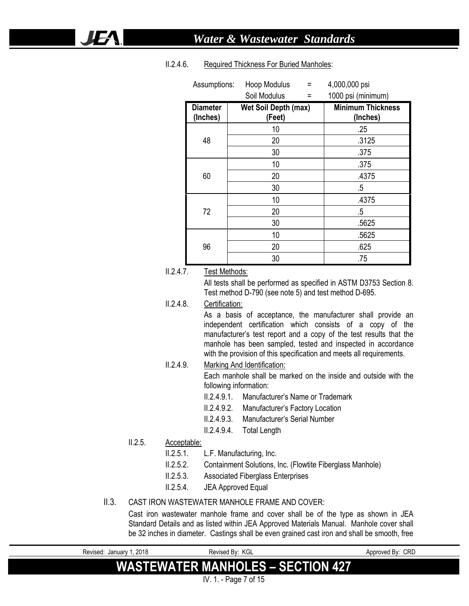| Assumptions:                | Hoop Modulus<br>Ξ<br>Soil Modulus<br>Ξ | 4,000,000 psi<br>1000 psi (minimum)  |
|-----------------------------|----------------------------------------|--------------------------------------|
| <b>Diameter</b><br>(Inches) | <b>Wet Soil Depth (max)</b><br>(Feet)  | <b>Minimum Thickness</b><br>(Inches) |
|                             | 10                                     | .25                                  |
| 48                          | 20                                     | .3125                                |
|                             | 30                                     | .375                                 |
|                             | 10                                     | .375                                 |
| 60                          | 20                                     | .4375                                |
|                             | 30                                     | $.5\,$                               |
|                             | 10                                     | .4375                                |
| 72                          | 20                                     | .5                                   |
|                             | 30                                     | .5625                                |
|                             | 10                                     | .5625                                |
| 96                          | 20                                     | .625                                 |
|                             | 30                                     | .75                                  |

#### II.2.4.6. Required Thickness For Buried Manholes:

#### II.2.4.7. Test Methods:

All tests shall be performed as specified in ASTM D3753 Section 8. Test method D-790 (see note 5) and test method D-695.

#### II.2.4.8. Certification:

As a basis of acceptance, the manufacturer shall provide an independent certification which consists of a copy of the manufacturer's test report and a copy of the test results that the manhole has been sampled, tested and inspected in accordance with the provision of this specification and meets all requirements.

#### II.2.4.9. Marking And Identification: Each manhole shall be marked on the inside and outside with the following information:

- II.2.4.9.1. Manufacturer's Name or Trademark
- II.2.4.9.2. Manufacturer's Factory Location
- II.2.4.9.3. Manufacturer's Serial Number
- II.2.4.9.4. Total Length

#### II.2.5. Acceptable:

JEA

- II.2.5.1. L.F. Manufacturing, Inc.
- II.2.5.2. Containment Solutions, Inc. (Flowtite Fiberglass Manhole)
- II.2.5.3. Associated Fiberglass Enterprises
- II.2.5.4. JEA Approved Equal

#### II.3. CAST IRON WASTEWATER MANHOLE FRAME AND COVER:

Cast iron wastewater manhole frame and cover shall be of the type as shown in JEA Standard Details and as listed within JEA Approved Materials Manual. Manhole cover shall be 32 inches in diameter. Castings shall be even grained cast iron and shall be smooth, free

| Revised: January 1, 2018 | Revised By: KGL                           | Approved By: CRD |
|--------------------------|-------------------------------------------|------------------|
|                          | <b>WASTEWATER MANHOLES – SECTION 427</b>  |                  |
|                          | $\mathbf{a}$ is the state of $\mathbf{a}$ |                  |

IV. 1. - Page 7 of 15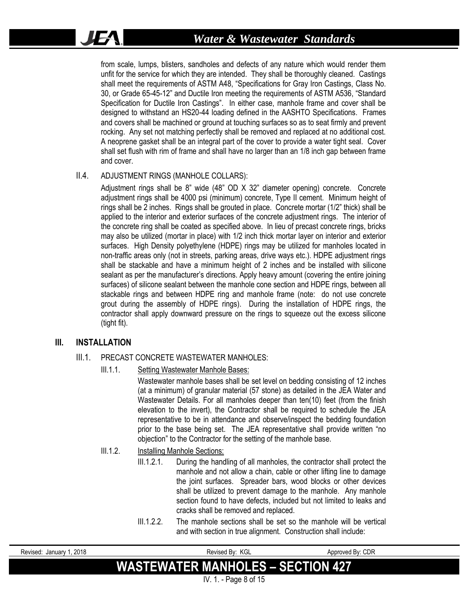from scale, lumps, blisters, sandholes and defects of any nature which would render them unfit for the service for which they are intended. They shall be thoroughly cleaned. Castings shall meet the requirements of ASTM A48, "Specifications for Gray Iron Castings, Class No. 30, or Grade 65-45-12" and Ductile Iron meeting the requirements of ASTM A536, "Standard Specification for Ductile Iron Castings". In either case, manhole frame and cover shall be designed to withstand an HS20-44 loading defined in the AASHTO Specifications. Frames and covers shall be machined or ground at touching surfaces so as to seat firmly and prevent rocking. Any set not matching perfectly shall be removed and replaced at no additional cost. A neoprene gasket shall be an integral part of the cover to provide a water tight seal. Cover shall set flush with rim of frame and shall have no larger than an 1/8 inch gap between frame and cover.

#### II.4. ADJUSTMENT RINGS (MANHOLE COLLARS):

Adjustment rings shall be 8" wide (48" OD X 32" diameter opening) concrete. Concrete adjustment rings shall be 4000 psi (minimum) concrete, Type II cement. Minimum height of rings shall be 2 inches. Rings shall be grouted in place. Concrete mortar (1/2" thick) shall be applied to the interior and exterior surfaces of the concrete adjustment rings. The interior of the concrete ring shall be coated as specified above. In lieu of precast concrete rings, bricks may also be utilized (mortar in place) with 1/2 inch thick mortar layer on interior and exterior surfaces. High Density polyethylene (HDPE) rings may be utilized for manholes located in non-traffic areas only (not in streets, parking areas, drive ways etc.). HDPE adjustment rings shall be stackable and have a minimum height of 2 inches and be installed with silicone sealant as per the manufacturer's directions. Apply heavy amount (covering the entire joining surfaces) of silicone sealant between the manhole cone section and HDPE rings, between all stackable rings and between HDPE ring and manhole frame (note: do not use concrete grout during the assembly of HDPE rings). During the installation of HDPE rings, the contractor shall apply downward pressure on the rings to squeeze out the excess silicone (tight fit).

#### **III. INSTALLATION**

IFA.

#### III.1. PRECAST CONCRETE WASTEWATER MANHOLES:

III.1.1. Setting Wastewater Manhole Bases:

Wastewater manhole bases shall be set level on bedding consisting of 12 inches (at a minimum) of granular material (57 stone) as detailed in the JEA Water and Wastewater Details. For all manholes deeper than ten(10) feet (from the finish elevation to the invert), the Contractor shall be required to schedule the JEA representative to be in attendance and observe/inspect the bedding foundation prior to the base being set. The JEA representative shall provide written "no objection" to the Contractor for the setting of the manhole base.

#### III.1.2. Installing Manhole Sections:

III.1.2.1. During the handling of all manholes, the contractor shall protect the manhole and not allow a chain, cable or other lifting line to damage the joint surfaces. Spreader bars, wood blocks or other devices shall be utilized to prevent damage to the manhole. Any manhole section found to have defects, included but not limited to leaks and cracks shall be removed and replaced.

III.1.2.2. The manhole sections shall be set so the manhole will be vertical and with section in true alignment. Construction shall include:

| Revised: January 1, 2018                 | Revised By: KGL                         | Approved By: CDR |
|------------------------------------------|-----------------------------------------|------------------|
| <b>WASTEWATER MANHOLES - SECTION 427</b> |                                         |                  |
|                                          | $N/A$ $D_{\text{max}}$ $D_{\text{max}}$ |                  |

IV. 1. - Page 8 of 15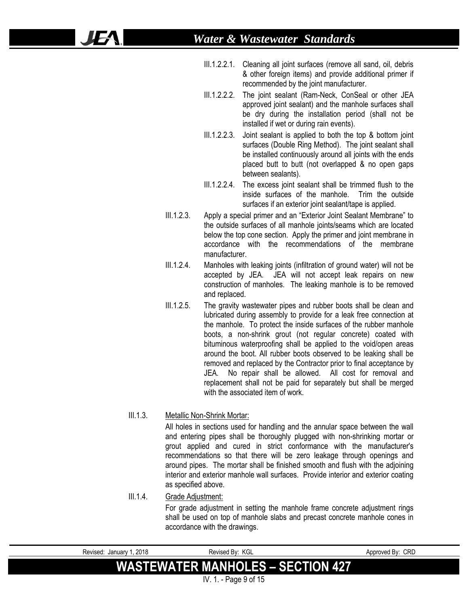- III.1.2.2.1. Cleaning all joint surfaces (remove all sand, oil, debris & other foreign items) and provide additional primer if recommended by the joint manufacturer.
- III.1.2.2.2. The joint sealant (Ram-Neck, ConSeal or other JEA approved joint sealant) and the manhole surfaces shall be dry during the installation period (shall not be installed if wet or during rain events).
- III.1.2.2.3. Joint sealant is applied to both the top & bottom joint surfaces (Double Ring Method). The joint sealant shall be installed continuously around all joints with the ends placed butt to butt (not overlapped & no open gaps between sealants).
- III.1.2.2.4. The excess joint sealant shall be trimmed flush to the inside surfaces of the manhole. Trim the outside surfaces if an exterior joint sealant/tape is applied.
- III.1.2.3. Apply a special primer and an "Exterior Joint Sealant Membrane" to the outside surfaces of all manhole joints/seams which are located below the top cone section. Apply the primer and joint membrane in accordance with the recommendations of the membrane manufacturer.
- III.1.2.4. Manholes with leaking joints (infiltration of ground water) will not be accepted by JEA. JEA will not accept leak repairs on new construction of manholes. The leaking manhole is to be removed and replaced.
- III.1.2.5. The gravity wastewater pipes and rubber boots shall be clean and lubricated during assembly to provide for a leak free connection at the manhole. To protect the inside surfaces of the rubber manhole boots, a non-shrink grout (not regular concrete) coated with bituminous waterproofing shall be applied to the void/open areas around the boot. All rubber boots observed to be leaking shall be removed and replaced by the Contractor prior to final acceptance by JEA. No repair shall be allowed. All cost for removal and replacement shall not be paid for separately but shall be merged with the associated item of work.

### III.1.3. Metallic Non-Shrink Mortar:

42

All holes in sections used for handling and the annular space between the wall and entering pipes shall be thoroughly plugged with non-shrinking mortar or grout applied and cured in strict conformance with the manufacturer's recommendations so that there will be zero leakage through openings and around pipes. The mortar shall be finished smooth and flush with the adjoining interior and exterior manhole wall surfaces. Provide interior and exterior coating as specified above.

#### III.1.4. Grade Adjustment:

For grade adjustment in setting the manhole frame concrete adjustment rings shall be used on top of manhole slabs and precast concrete manhole cones in accordance with the drawings.

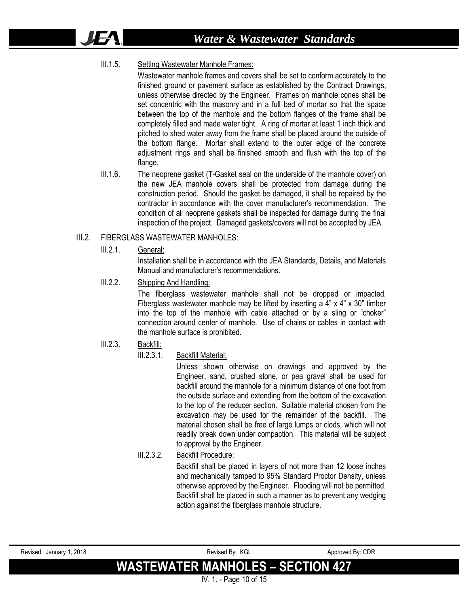#### III.1.5. Setting Wastewater Manhole Frames:

Wastewater manhole frames and covers shall be set to conform accurately to the finished ground or pavement surface as established by the Contract Drawings, unless otherwise directed by the Engineer. Frames on manhole cones shall be set concentric with the masonry and in a full bed of mortar so that the space between the top of the manhole and the bottom flanges of the frame shall be completely filled and made water tight. A ring of mortar at least 1 inch thick and pitched to shed water away from the frame shall be placed around the outside of the bottom flange. Mortar shall extend to the outer edge of the concrete adjustment rings and shall be finished smooth and flush with the top of the flange.

III.1.6. The neoprene gasket (T-Gasket seal on the underside of the manhole cover) on the new JEA manhole covers shall be protected from damage during the construction period. Should the gasket be damaged, it shall be repaired by the contractor in accordance with the cover manufacturer's recommendation. The condition of all neoprene gaskets shall be inspected for damage during the final inspection of the project. Damaged gaskets/covers will not be accepted by JEA.

#### III.2. FIBERGLASS WASTEWATER MANHOLES:

III.2.1. General:

IF A

Installation shall be in accordance with the JEA Standards, Details, and Materials Manual and manufacturer's recommendations.

III.2.2. Shipping And Handling:

The fiberglass wastewater manhole shall not be dropped or impacted. Fiberglass wastewater manhole may be lifted by inserting a 4" x 4" x 30" timber into the top of the manhole with cable attached or by a sling or "choker" connection around center of manhole. Use of chains or cables in contact with the manhole surface is prohibited.

#### III.2.3. Backfill:

#### III.2.3.1. Backfill Material:

Unless shown otherwise on drawings and approved by the Engineer, sand, crushed stone, or pea gravel shall be used for backfill around the manhole for a minimum distance of one foot from the outside surface and extending from the bottom of the excavation to the top of the reducer section. Suitable material chosen from the excavation may be used for the remainder of the backfill. The material chosen shall be free of large lumps or clods, which will not readily break down under compaction. This material will be subject to approval by the Engineer.

#### III.2.3.2. Backfill Procedure:

Backfill shall be placed in layers of not more than 12 loose inches and mechanically tamped to 95% Standard Proctor Density, unless otherwise approved by the Engineer. Flooding will not be permitted. Backfill shall be placed in such a manner as to prevent any wedging action against the fiberglass manhole structure.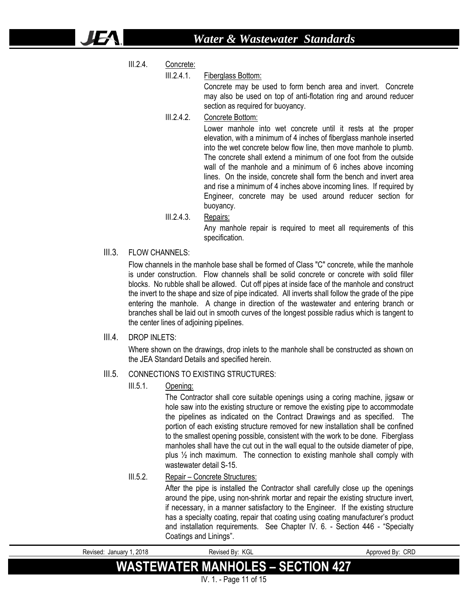III.2.4. Concrete:

ӀӺ

#### III.2.4.1. Fiberglass Bottom:

Concrete may be used to form bench area and invert. Concrete may also be used on top of anti-flotation ring and around reducer section as required for buoyancy.

III.2.4.2. Concrete Bottom:

Lower manhole into wet concrete until it rests at the proper elevation, with a minimum of 4 inches of fiberglass manhole inserted into the wet concrete below flow line, then move manhole to plumb. The concrete shall extend a minimum of one foot from the outside wall of the manhole and a minimum of 6 inches above incoming lines. On the inside, concrete shall form the bench and invert area and rise a minimum of 4 inches above incoming lines. If required by Engineer, concrete may be used around reducer section for buoyancy.

III.2.4.3. Repairs:

Any manhole repair is required to meet all requirements of this specification.

III.3. FLOW CHANNELS:

Flow channels in the manhole base shall be formed of Class "C" concrete, while the manhole is under construction. Flow channels shall be solid concrete or concrete with solid filler blocks. No rubble shall be allowed. Cut off pipes at inside face of the manhole and construct the invert to the shape and size of pipe indicated. All inverts shall follow the grade of the pipe entering the manhole. A change in direction of the wastewater and entering branch or branches shall be laid out in smooth curves of the longest possible radius which is tangent to the center lines of adjoining pipelines.

III.4. DROP INLETS:

Where shown on the drawings, drop inlets to the manhole shall be constructed as shown on the JEA Standard Details and specified herein.

#### III.5. CONNECTIONS TO EXISTING STRUCTURES:

III.5.1. Opening:

The Contractor shall core suitable openings using a coring machine, jigsaw or hole saw into the existing structure or remove the existing pipe to accommodate the pipelines as indicated on the Contract Drawings and as specified. The portion of each existing structure removed for new installation shall be confined to the smallest opening possible, consistent with the work to be done. Fiberglass manholes shall have the cut out in the wall equal to the outside diameter of pipe, plus ½ inch maximum. The connection to existing manhole shall comply with wastewater detail S-15

III.5.2. Repair – Concrete Structures:

After the pipe is installed the Contractor shall carefully close up the openings around the pipe, using non-shrink mortar and repair the existing structure invert, if necessary, in a manner satisfactory to the Engineer. If the existing structure has a specialty coating, repair that coating using coating manufacturer's product and installation requirements. See Chapter IV. 6. - Section 446 - "Specialty Coatings and Linings".

| Revised: January 1, 2018 | Revised Bv: KGL                          | Approved By: CRD |
|--------------------------|------------------------------------------|------------------|
|                          | <b>WASTEWATER MANHOLES - SECTION 427</b> |                  |
|                          | IV. 1. - Page 11 of 15                   |                  |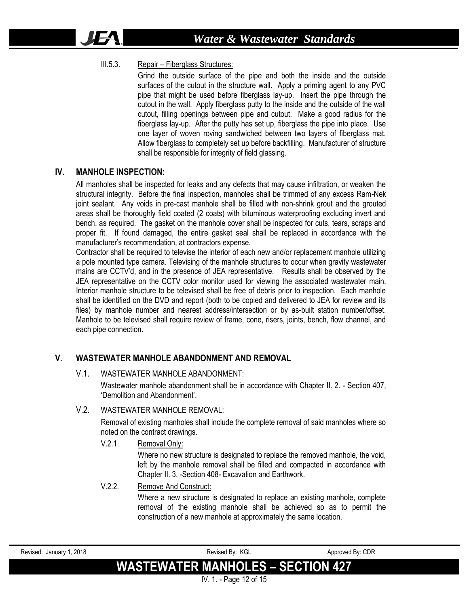#### III.5.3. Repair – Fiberglass Structures:

Grind the outside surface of the pipe and both the inside and the outside surfaces of the cutout in the structure wall. Apply a priming agent to any PVC pipe that might be used before fiberglass lay-up. Insert the pipe through the cutout in the wall. Apply fiberglass putty to the inside and the outside of the wall cutout, filling openings between pipe and cutout. Make a good radius for the fiberglass lay-up. After the putty has set up, fiberglass the pipe into place. Use one layer of woven roving sandwiched between two layers of fiberglass mat. Allow fiberglass to completely set up before backfilling. Manufacturer of structure shall be responsible for integrity of field glassing.

#### **IV. MANHOLE INSPECTION:**

**JFA** 

All manholes shall be inspected for leaks and any defects that may cause infiltration, or weaken the structural integrity. Before the final inspection, manholes shall be trimmed of any excess Ram-Nek joint sealant. Any voids in pre-cast manhole shall be filled with non-shrink grout and the grouted areas shall be thoroughly field coated (2 coats) with bituminous waterproofing excluding invert and bench, as required. The gasket on the manhole cover shall be inspected for cuts, tears, scraps and proper fit. If found damaged, the entire gasket seal shall be replaced in accordance with the manufacturer's recommendation, at contractors expense.

Contractor shall be required to televise the interior of each new and/or replacement manhole utilizing a pole mounted type camera. Televising of the manhole structures to occur when gravity wastewater mains are CCTV'd, and in the presence of JEA representative. Results shall be observed by the JEA representative on the CCTV color monitor used for viewing the associated wastewater main. Interior manhole structure to be televised shall be free of debris prior to inspection. Each manhole shall be identified on the DVD and report (both to be copied and delivered to JEA for review and its files) by manhole number and nearest address/intersection or by as-built station number/offset. Manhole to be televised shall require review of frame, cone, risers, joints, bench, flow channel, and each pipe connection.

#### **V. WASTEWATER MANHOLE ABANDONMENT AND REMOVAL**

#### V.1. WASTEWATER MANHOLE ABANDONMENT:

Wastewater manhole abandonment shall be in accordance with Chapter II. 2. - Section 407, 'Demolition and Abandonment'.

#### V.2. WASTEWATER MANHOLE REMOVAL:

Removal of existing manholes shall include the complete removal of said manholes where so noted on the contract drawings.

V.2.1. Removal Only:

Where no new structure is designated to replace the removed manhole, the void, left by the manhole removal shall be filled and compacted in accordance with Chapter II. 3. -Section 408- Excavation and Earthwork.

#### V.2.2. Remove And Construct:

Where a new structure is designated to replace an existing manhole, complete removal of the existing manhole shall be achieved so as to permit the construction of a new manhole at approximately the same location.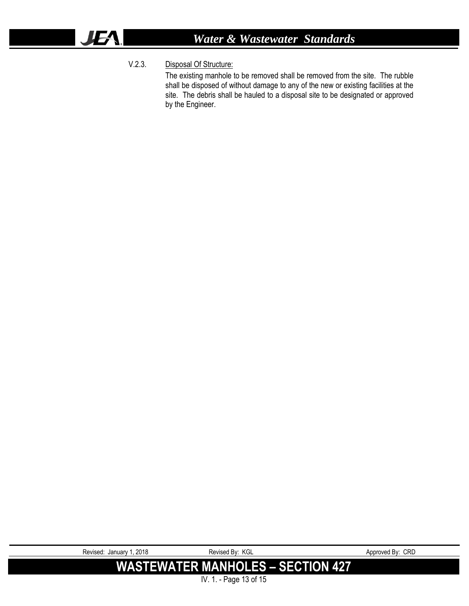# *Water & Wastewater Standards*

### V.2.3. Disposal Of Structure:

The existing manhole to be removed shall be removed from the site. The rubble shall be disposed of without damage to any of the new or existing facilities at the site. The debris shall be hauled to a disposal site to be designated or approved by the Engineer.

| Revised: January 1, 2018 | Revised By: KGL                          | Approved By: CRD |
|--------------------------|------------------------------------------|------------------|
|                          | <b>WASTEWATER MANHOLES - SECTION 427</b> |                  |
|                          | IV. 1. - Page 13 of 15                   |                  |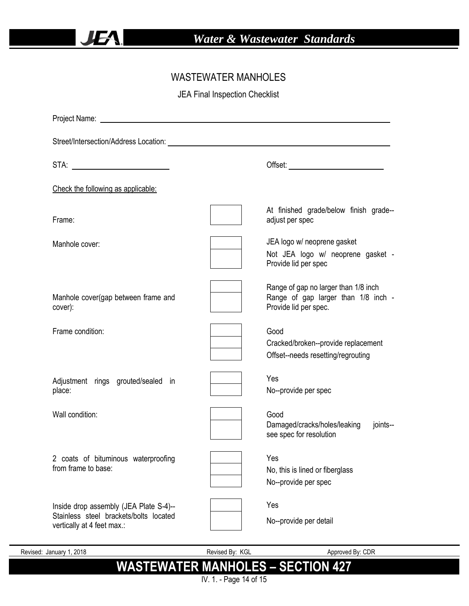## WASTEWATER MANHOLES

JEA Final Inspection Checklist

| STA:                                                                                                           |                                                                                                      |
|----------------------------------------------------------------------------------------------------------------|------------------------------------------------------------------------------------------------------|
| Check the following as applicable:                                                                             |                                                                                                      |
| Frame:                                                                                                         | At finished grade/below finish grade--<br>adjust per spec                                            |
| Manhole cover:                                                                                                 | JEA logo w/ neoprene gasket<br>Not JEA logo w/ neoprene gasket -<br>Provide lid per spec             |
| Manhole cover(gap between frame and<br>cover):                                                                 | Range of gap no larger than 1/8 inch<br>Range of gap larger than 1/8 inch -<br>Provide lid per spec. |
| Frame condition:                                                                                               | Good<br>Cracked/broken--provide replacement<br>Offset--needs resetting/regrouting                    |
| Adjustment rings grouted/sealed in<br>place:                                                                   | Yes<br>No--provide per spec                                                                          |
| Wall condition:                                                                                                | Good<br>Damaged/cracks/holes/leaking<br>joints--<br>see spec for resolution                          |
| 2 coats of bituminous waterproofing<br>from frame to base:                                                     | Yes<br>No, this is lined or fiberglass<br>No--provide per spec                                       |
| Inside drop assembly (JEA Plate S-4)--<br>Stainless steel brackets/bolts located<br>vertically at 4 feet max.: | Yes<br>No--provide per detail                                                                        |

IV. 1. - Page 14 of 15